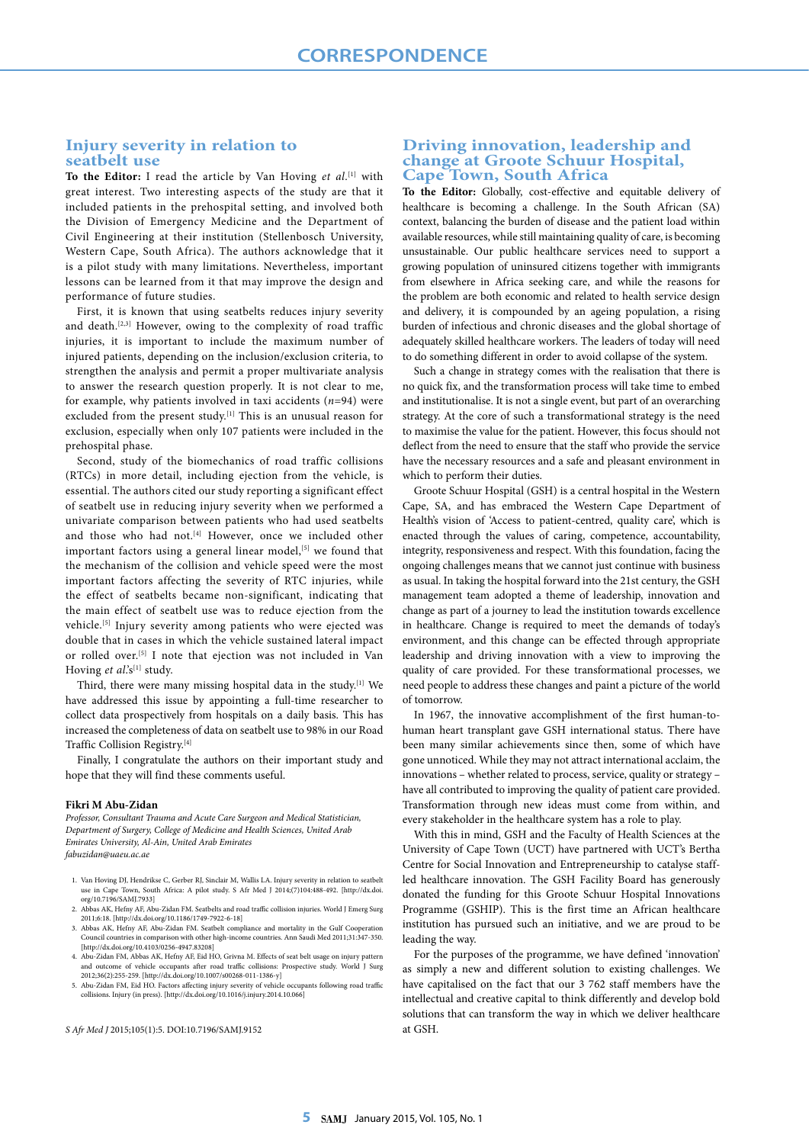# **Injury severity in relation to seatbelt use**

**To the Editor:** I read the article by Van Hoving *et al*. [1] with great interest. Two interesting aspects of the study are that it included patients in the prehospital setting, and involved both the Division of Emergency Medicine and the Department of Civil Engineering at their institution (Stellenbosch University, Western Cape, South Africa). The authors acknowledge that it is a pilot study with many limitations. Nevertheless, important lessons can be learned from it that may improve the design and performance of future studies.

First, it is known that using seatbelts reduces injury severity and death.<sup>[2,3]</sup> However, owing to the complexity of road traffic injuries, it is important to include the maximum number of injured patients, depending on the inclusion/exclusion criteria, to strengthen the analysis and permit a proper multivariate analysis to answer the research question properly. It is not clear to me, for example, why patients involved in taxi accidents (*n*=94) were excluded from the present study.<sup>[1]</sup> This is an unusual reason for exclusion, especially when only 107 patients were included in the prehospital phase.

Second, study of the biomechanics of road traffic collisions (RTCs) in more detail, including ejection from the vehicle, is essential. The authors cited our study reporting a significant effect of seatbelt use in reducing injury severity when we performed a univariate comparison between patients who had used seatbelts and those who had not.<sup>[4]</sup> However, once we included other important factors using a general linear model,<sup>[5]</sup> we found that the mechanism of the collision and vehicle speed were the most important factors affecting the severity of RTC injuries, while the effect of seatbelts became non-significant, indicating that the main effect of seatbelt use was to reduce ejection from the vehicle.<sup>[5]</sup> Injury severity among patients who were ejected was double that in cases in which the vehicle sustained lateral impact or rolled over.[5] I note that ejection was not included in Van Hoving *et al*.'s<sup>[1]</sup> study.

Third, there were many missing hospital data in the study.<sup>[1]</sup> We have addressed this issue by appointing a full-time researcher to collect data prospectively from hospitals on a daily basis. This has increased the completeness of data on seatbelt use to 98% in our Road Traffic Collision Registry.[4]

Finally, I congratulate the authors on their important study and hope that they will find these comments useful.

#### **Fikri M Abu-Zidan**

*Professor, Consultant Trauma and Acute Care Surgeon and Medical Statistician, Department of Surgery, College of Medicine and Health Sciences, United Arab Emirates University, Al-Ain, United Arab Emirates fabuzidan@uaeu.ac.ae*

- 1. Van Hoving DJ, Hendrikse C, Gerber RJ, Sinclair M, Wallis LA. Injury severity in relation to seatbel use in Cape Town, South Africa: A pilot study. S Afr Med J 2014;(7)104:488-492. [http://dx.doi. org/10.7196/SAMJ.7933]
- 2. Abbas AK, Hefny AF, Abu-Zidan FM. Seatbelts and road traffic collision injuries. World J Emerg Surg 2011;6:18. [http://dx.doi.org/10.1186/1749-7922-6-18]
- 3. Abbas AK, Hefny AF, Abu-Zidan FM. Seatbelt compliance and mortality in the Gulf Cooperation Council countries in comparison with other high-income countries. Ann Saudi Med 2011;31:347-350. [http://dx.doi.org/10.4103/0256-4947.83208]
- 4. Abu-Zidan FM, Abbas AK, Hefny AF, Eid HO, Grivna M. Effects of seat belt usage on injury pattern and outcome of vehicle occupants after road traffic collisions: Prospective study. World J Surg 2012;36(2):255-259. [http://dx.doi.org/10.1007/s00268-011-1386-y]
- 5. Abu-Zidan FM, Eid HO. Factors affecting injury severity of vehicle occupants following road traffic collisions. Injury (in press). [http://dx.doi.org/10.1016/j.injury.2014.10.066]

*S Afr Med J* 2015;105(1):5. DOI:10.7196/SAMJ.9152

# **Driving innovation, leadership and change at Groote Schuur Hospital, Cape Town, South Africa**

**To the Editor:** Globally, cost-effective and equitable delivery of healthcare is becoming a challenge. In the South African (SA) context, balancing the burden of disease and the patient load within available resources, while still maintaining quality of care, is becoming unsustainable. Our public healthcare services need to support a growing population of uninsured citizens together with immigrants from elsewhere in Africa seeking care, and while the reasons for the problem are both economic and related to health service design and delivery, it is compounded by an ageing population, a rising burden of infectious and chronic diseases and the global shortage of adequately skilled healthcare workers. The leaders of today will need to do something different in order to avoid collapse of the system.

Such a change in strategy comes with the realisation that there is no quick fix, and the transformation process will take time to embed and institutionalise. It is not a single event, but part of an overarching strategy. At the core of such a transformational strategy is the need to maximise the value for the patient. However, this focus should not deflect from the need to ensure that the staff who provide the service have the necessary resources and a safe and pleasant environment in which to perform their duties.

Groote Schuur Hospital (GSH) is a central hospital in the Western Cape, SA, and has embraced the Western Cape Department of Health's vision of 'Access to patient-centred, quality care', which is enacted through the values of caring, competence, accountability, integrity, responsiveness and respect. With this foundation, facing the ongoing challenges means that we cannot just continue with business as usual. In taking the hospital forward into the 21st century, the GSH management team adopted a theme of leadership, innovation and change as part of a journey to lead the institution towards excellence in healthcare. Change is required to meet the demands of today's environment, and this change can be effected through appropriate leadership and driving innovation with a view to improving the quality of care provided. For these transformational processes, we need people to address these changes and paint a picture of the world of tomorrow.

In 1967, the innovative accomplishment of the first human-tohuman heart transplant gave GSH international status. There have been many similar achievements since then, some of which have gone unnoticed. While they may not attract international acclaim, the innovations – whether related to process, service, quality or strategy – have all contributed to improving the quality of patient care provided. Transformation through new ideas must come from within, and every stakeholder in the healthcare system has a role to play.

With this in mind, GSH and the Faculty of Health Sciences at the University of Cape Town (UCT) have partnered with UCT's Bertha Centre for Social Innovation and Entrepreneurship to catalyse staffled healthcare innovation. The GSH Facility Board has generously donated the funding for this Groote Schuur Hospital Innovations Programme (GSHIP). This is the first time an African healthcare institution has pursued such an initiative, and we are proud to be leading the way.

For the purposes of the programme, we have defined 'innovation' as simply a new and different solution to existing challenges. We have capitalised on the fact that our 3 762 staff members have the intellectual and creative capital to think differently and develop bold solutions that can transform the way in which we deliver healthcare at GSH.